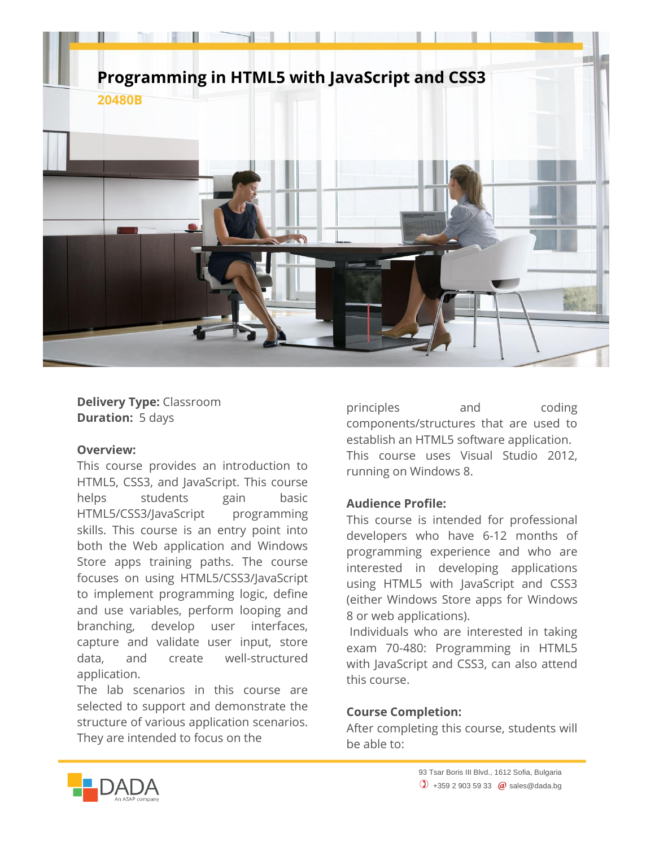

**Delivery Type:** Classroom **Duration:** 5 days

## **Overview:**

This course provides an introduction to HTML5, CSS3, and JavaScript. This course helps students gain basic HTML5/CSS3/JavaScript programming skills. This course is an entry point into both the Web application and Windows Store apps training paths. The course focuses on using HTML5/CSS3/JavaScript to implement programming logic, define and use variables, perform looping and branching, develop user interfaces, capture and validate user input, store data, and create well-structured application.

The lab scenarios in this course are selected to support and demonstrate the structure of various application scenarios. They are intended to focus on the

principles and coding components/structures that are used to establish an HTML5 software application. This course uses Visual Studio 2012, running on Windows 8.

## **Audience Profile:**

This course is intended for professional developers who have 6-12 months of programming experience and who are interested in developing applications using HTML5 with JavaScript and CSS3 (either Windows Store apps for Windows 8 or web applications).

Individuals who are interested in taking exam 70-480: Programming in HTML5 with JavaScript and CSS3, can also attend this course.

## **Course Completion:**

After completing this course, students will be able to: